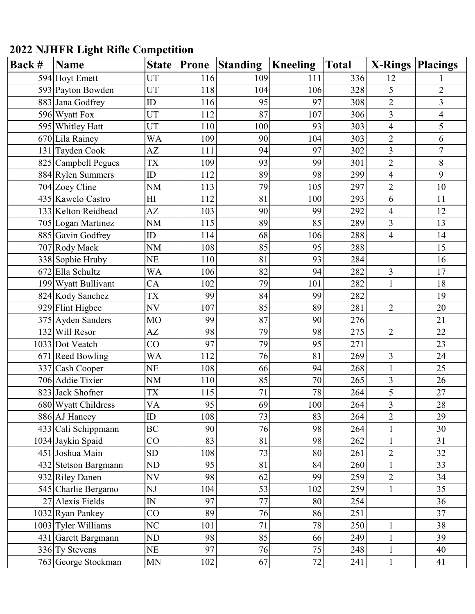| Back # | <b>Name</b>          | <b>State</b>    | Prone | <b>Standing</b> | <b>Kneeling</b> | <b>Total</b> | <b>X-Rings</b>          | <b>Placings</b> |
|--------|----------------------|-----------------|-------|-----------------|-----------------|--------------|-------------------------|-----------------|
|        | 594 Hoyt Emett       | UT              | 116   | 109             | 111             | 336          | 12                      |                 |
|        | 593 Payton Bowden    | UT              | 118   | 104             | 106             | 328          | 5                       | $\overline{2}$  |
|        | 883 Jana Godfrey     | ID              | 116   | 95              | 97              | 308          | $\overline{2}$          | 3               |
|        | 596 Wyatt Fox        | UT              | 112   | 87              | 107             | 306          | $\overline{3}$          | $\overline{4}$  |
|        | 595 Whitley Hatt     | UT              | 110   | 100             | 93              | 303          | $\overline{\mathbf{4}}$ | 5               |
|        | 670 Lila Rainey      | <b>WA</b>       | 109   | 90              | 104             | 303          | $\overline{2}$          | 6               |
|        | 131 Tayden Cook      | AZ              | 111   | 94              | 97              | 302          | $\overline{3}$          | $\overline{7}$  |
|        | 825 Campbell Pegues  | <b>TX</b>       | 109   | 93              | 99              | 301          | $\overline{2}$          | 8               |
|        | 884 Rylen Summers    | ID              | 112   | 89              | 98              | 299          | $\overline{4}$          | 9               |
|        | 704 Zoey Cline       | <b>NM</b>       | 113   | 79              | 105             | 297          | $\overline{2}$          | 10              |
|        | 435 Kawelo Castro    | H               | 112   | 81              | 100             | 293          | 6                       | 11              |
|        | 133 Kelton Reidhead  | AZ              | 103   | 90              | 99              | 292          | $\overline{4}$          | 12              |
|        | 705 Logan Martinez   | $\rm{NM}$       | 115   | 89              | 85              | 289          | 3                       | 13              |
|        | 885 Gavin Godfrey    | ID              | 114   | 68              | 106             | 288          | $\overline{4}$          | 14              |
|        | 707 Rody Mack        | <b>NM</b>       | 108   | 85              | 95              | 288          |                         | 15              |
|        | 338 Sophie Hruby     | <b>NE</b>       | 110   | 81              | 93              | 284          |                         | 16              |
|        | 672 Ella Schultz     | <b>WA</b>       | 106   | 82              | 94              | 282          | 3                       | 17              |
|        | 199 Wyatt Bullivant  | CA              | 102   | 79              | 101             | 282          | $\mathbf{1}$            | 18              |
|        | 824 Kody Sanchez     | TX              | 99    | 84              | 99              | 282          |                         | 19              |
|        | 929 Flint Higbee     | NV              | 107   | 85              | 89              | 281          | $\overline{2}$          | 20              |
|        | 375 Ayden Sanders    | MO              | 99    | 87              | 90              | 276          |                         | 21              |
|        | 132 Will Resor       | AZ              | 98    | 79              | 98              | 275          | $\overline{2}$          | 22              |
|        | 1033 Dot Veatch      | $\overline{CO}$ | 97    | 79              | 95              | 271          |                         | 23              |
|        | 671 Reed Bowling     | WA              | 112   | 76              | 81              | 269          | 3                       | 24              |
|        | 337 Cash Cooper      | <b>NE</b>       | 108   | 66              | 94              | 268          | $\mathbf{1}$            | 25              |
|        | 706 Addie Tixier     | NM              | 110   | 85              | 70              | 265          | $\overline{3}$          | 26              |
|        | 823 Jack Shofner     | TX              | 115   | 71              | 78              | 264          | 5                       | 27              |
|        | 680 Wyatt Childress  | <b>VA</b>       | 95    | 69              | 100             | 264          | $\overline{3}$          | 28              |
|        | 886 AJ Hancey        | ID              | 108   | 73              | 83              | 264          | $\overline{2}$          | 29              |
|        | 433 Cali Schippmann  | <b>BC</b>       | 90    | 76              | 98              | 264          | $\mathbf{1}$            | 30              |
|        | 1034 Jaykin Spaid    | $\overline{C}O$ | 83    | 81              | 98              | 262          |                         | 31              |
|        | 451 Joshua Main      | <b>SD</b>       | 108   | 73              | 80              | 261          | $\overline{2}$          | 32              |
|        | 432 Stetson Bargmann | ND              | 95    | 81              | 84              | 260          | $\mathbf{1}$            | 33              |
|        | 932 Riley Danen      | NV              | 98    | 62              | 99              | 259          | $\overline{2}$          | 34              |
|        | 545 Charlie Bergamo  | NJ              | 104   | 53              | 102             | 259          | $\mathbf{1}$            | 35              |
|        | 27 Alexis Fields     | ${\rm IN}$      | 97    | 77              | 80              | 254          |                         | 36              |
|        | 1032 Ryan Pankey     | $\overline{C}O$ | 89    | 76              | 86              | 251          |                         | 37              |
|        | 1003 Tyler Williams  | N <sub>C</sub>  | 101   | 71              | 78              | 250          | $\mathbf{1}$            | 38              |
|        | 431 Garett Bargmann  | ND              | 98    | 85              | 66              | 249          | $\mathbf{1}$            | 39              |
|        | 336 Ty Stevens       | <b>NE</b>       | 97    | 76              | 75              | 248          | $\mathbf{1}$            | 40              |
|        | 763 George Stockman  | MN              | 102   | 67              | 72              | 241          | $\mathbf{1}$            | 41              |

## **2022 NJHFR Light Rifle Competition**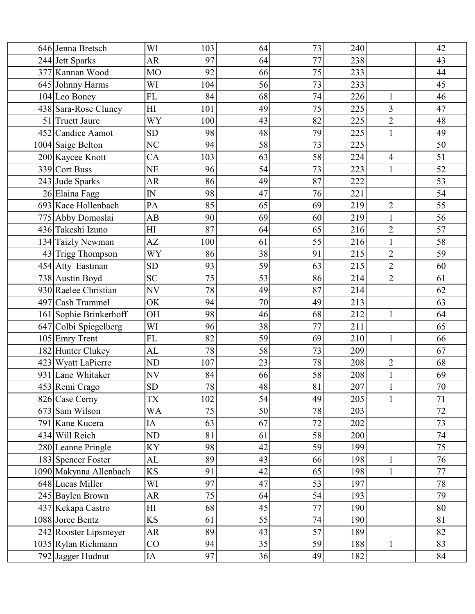| 646 Jenna Bretsch      | WI                      | 103    | 64 | 73 | 240     |                          | 42     |
|------------------------|-------------------------|--------|----|----|---------|--------------------------|--------|
| 244 Jett Sparks        | AR                      | 97     | 64 | 77 | 238     |                          | 43     |
| 377 Kannan Wood        | M <sub>O</sub>          | 92     | 66 | 75 | 233     |                          | 44     |
| 645 Johnny Harms       | WI                      | 104    | 56 | 73 | 233     |                          | 45     |
| 104 Leo Boney          | ${\rm FL}$              | 84     | 68 | 74 | 226     | $\mathbf{1}$             | 46     |
| 438 Sara-Rose Cluney   | H                       | 101    | 49 | 75 | 225     | 3                        | 47     |
| 51 Truett Jaure        | <b>WY</b>               | 100    | 43 | 82 | 225     | $\overline{2}$           | 48     |
| 452 Candice Aamot      | <b>SD</b>               | 98     | 48 | 79 | 225     | $\mathbf{1}$             | 49     |
| 1004 Saige Belton      | NC                      | 94     | 58 | 73 | 225     |                          | 50     |
| 200 Kaycee Knott       | CA                      | 103    | 63 | 58 | 224     | $\overline{\mathcal{A}}$ | 51     |
| 339 Cort Buss          | <b>NE</b>               | 96     | 54 | 73 | 223     | $\mathbf{1}$             | 52     |
| 243 Jude Sparks        | <b>AR</b>               | 86     | 49 | 87 | 222     |                          | 53     |
| 26 Elaina Fagg         | $\overline{\mathbb{N}}$ | 98     | 47 | 76 | 221     |                          | 54     |
| 693 Kace Hollenbach    | PA                      | 85     | 65 | 69 | 219     | $\overline{2}$           | 55     |
| 775 Abby Domoslai      | AB                      | 90     | 69 | 60 | 219     | $\mathbf{1}$             | 56     |
| 436 Takeshi Izuno      | H                       | 87     | 64 | 65 | 216     | $\overline{2}$           | 57     |
| 134 Taizly Newman      | AZ                      | 100    | 61 | 55 | 216     | $\mathbf{1}$             | 58     |
| 43 Trigg Thompson      | <b>WY</b>               | 86     | 38 | 91 | 215     | $\overline{2}$           | 59     |
| 454 Atty Eastman       | ${\rm SD}$              | 93     | 59 | 63 | 215     | $\overline{2}$           | 60     |
| 738 Austin Boyd        | <b>SC</b>               | 75     | 53 | 86 | 214     | $\overline{2}$           | 61     |
| 930 Raelee Christian   | NV                      | 78     | 49 | 87 | 214     |                          | 62     |
| 497 Cash Trammel       | OK                      | 94     | 70 | 49 | 213     |                          | 63     |
| 161 Sophie Brinkerhoff | OH                      | 98     | 46 | 68 | 212     | $\mathbf{1}$             | 64     |
| 647 Colbi Spiegelberg  | WI                      | 96     | 38 | 77 | 211     |                          | 65     |
| 105 Emry Trent         | $\mathbf{FL}$           | 82     | 59 | 69 | 210     | $\mathbf{1}$             | 66     |
| 182 Hunter Clukey      | AL                      | 78     | 58 | 73 | 209     |                          | 67     |
| 423 Wyatt LaPierre     | ND                      | 107    | 23 | 78 | 208     | $\overline{2}$           | 68     |
| 931 Lane Whitaker      | NV                      | 84     | 66 | 58 | 208     | $\mathbf{1}$             | 69     |
| 453 Remi Crago         | ${\rm SD}$              | $78\,$ | 48 | 81 | $207\,$ | $\mathbf{1}$             | $70\,$ |
| 826 Case Cerny         | <b>TX</b>               | 102    | 54 | 49 | 205     | $\mathbf{1}$             | 71     |
| 673 Sam Wilson         | <b>WA</b>               | 75     | 50 | 78 | 203     |                          | 72     |
| 791 Kane Kucera        | IA                      | 63     | 67 | 72 | 202     |                          | 73     |
| 434 Will Reich         | ND                      | 81     | 61 | 58 | 200     |                          | 74     |
| 280 Leanne Pringle     | KY                      | 98     | 42 | 59 | 199     |                          | 75     |
| 183 Spencer Foster     | AL                      | 89     | 43 | 66 | 198     | $\mathbf{1}$             | 76     |
| 1090 Makynna Allenbach | <b>KS</b>               | 91     | 42 | 65 | 198     | $\mathbf{1}$             | 77     |
| 648 Lucas Miller       | WI                      | 97     | 47 | 53 | 197     |                          | 78     |
| 245 Baylen Brown       | AR                      | 75     | 64 | 54 | 193     |                          | 79     |
| 437 Kekapa Castro      | H                       | 68     | 45 | 77 | 190     |                          | 80     |
| 1088 Joree Bentz       | KS                      | 61     | 55 | 74 | 190     |                          | 81     |
| 242 Rooster Lipsmeyer  | AR                      | 89     | 43 | 57 | 189     |                          | 82     |
| 1035 Rylan Richmann    | CO                      | 94     | 35 | 59 | 188     | $\mathbf{1}$             | 83     |
| 792 Jagger Hudnut      | IA                      | 97     | 36 | 49 | 182     |                          | 84     |